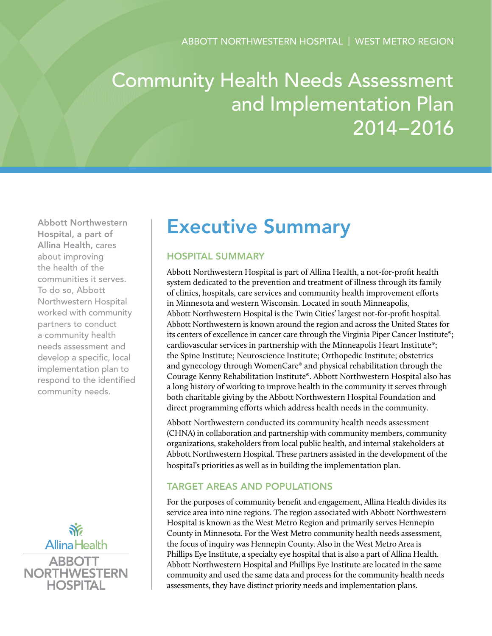# Community Health Needs Assessment and Implementation Plan 2014–2016

Abbott Northwestern Hospital, a part of Allina Health, cares about improving the health of the communities it serves. To do so, Abbott Northwestern Hospital worked with community partners to conduct a community health needs assessment and develop a specific, local implementation plan to respond to the identified community needs.



# Executive Summary

# Hospital Summary

Abbott Northwestern Hospital is part of Allina Health, a not-for-profit health system dedicated to the prevention and treatment of illness through its family of clinics, hospitals, care services and community health improvement efforts in Minnesota and western Wisconsin. Located in south Minneapolis, Abbott Northwestern Hospital is the Twin Cities' largest not-for-profit hospital. Abbott Northwestern is known around the region and across the United States for its centers of excellence in cancer care through the Virginia Piper Cancer Institute®; cardiovascular services in partnership with the Minneapolis Heart Institute®; the Spine Institute; Neuroscience Institute; Orthopedic Institute; obstetrics and gynecology through WomenCare® and physical rehabilitation through the Courage Kenny Rehabilitation Institute®. Abbott Northwestern Hospital also has a long history of working to improve health in the community it serves through both charitable giving by the Abbott Northwestern Hospital Foundation and direct programming efforts which address health needs in the community.

Abbott Northwestern conducted its community health needs assessment (CHNA) in collaboration and partnership with community members, community organizations, stakeholders from local public health, and internal stakeholders at Abbott Northwestern Hospital. These partners assisted in the development of the hospital's priorities as well as in building the implementation plan.

# Target Areas and Populations

For the purposes of community benefit and engagement, Allina Health divides its service area into nine regions. The region associated with Abbott Northwestern Hospital is known as the West Metro Region and primarily serves Hennepin County in Minnesota. For the West Metro community health needs assessment, the focus of inquiry was Hennepin County. Also in the West Metro Area is Phillips Eye Institute, a specialty eye hospital that is also a part of Allina Health. Abbott Northwestern Hospital and Phillips Eye Institute are located in the same community and used the same data and process for the community health needs assessments, they have distinct priority needs and implementation plans.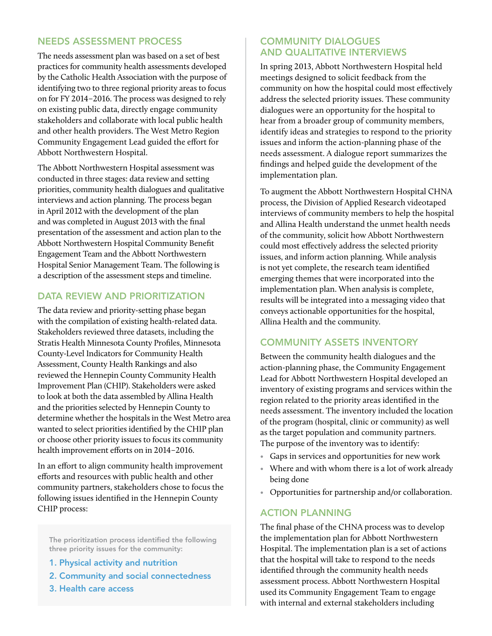#### Needs Assessment Process

The needs assessment plan was based on a set of best practices for community health assessments developed by the Catholic Health Association with the purpose of identifying two to three regional priority areas to focus on for FY 2014–2016. The process was designed to rely on existing public data, directly engage community stakeholders and collaborate with local public health and other health providers. The West Metro Region Community Engagement Lead guided the effort for Abbott Northwestern Hospital.

The Abbott Northwestern Hospital assessment was conducted in three stages: data review and setting priorities, community health dialogues and qualitative interviews and action planning. The process began in April 2012 with the development of the plan and was completed in August 2013 with the final presentation of the assessment and action plan to the Abbott Northwestern Hospital Community Benefit Engagement Team and the Abbott Northwestern Hospital Senior Management Team. The following is a description of the assessment steps and timeline.

# DATA REVIEW AND PRIORITIZATION

The data review and priority-setting phase began with the compilation of existing health-related data. Stakeholders reviewed three datasets, including the Stratis Health Minnesota County Profiles, Minnesota County-Level Indicators for Community Health Assessment, County Health Rankings and also reviewed the Hennepin County Community Health Improvement Plan (CHIP). Stakeholders were asked to look at both the data assembled by Allina Health and the priorities selected by Hennepin County to determine whether the hospitals in the West Metro area wanted to select priorities identified by the CHIP plan or choose other priority issues to focus its community health improvement efforts on in 2014–2016.

In an effort to align community health improvement efforts and resources with public health and other community partners, stakeholders chose to focus the following issues identified in the Hennepin County CHIP process:

The prioritization process identified the following three priority issues for the community:

- 1. Physical activity and nutrition
- 2. Community and social connectedness
- 3. Health care access

### Community Dialogues and qualitative interviews

In spring 2013, Abbott Northwestern Hospital held meetings designed to solicit feedback from the community on how the hospital could most effectively address the selected priority issues. These community dialogues were an opportunity for the hospital to hear from a broader group of community members, identify ideas and strategies to respond to the priority issues and inform the action-planning phase of the needs assessment. A dialogue report summarizes the findings and helped guide the development of the implementation plan.

To augment the Abbott Northwestern Hospital CHNA process, the Division of Applied Research videotaped interviews of community members to help the hospital and Allina Health understand the unmet health needs of the community, solicit how Abbott Northwestern could most effectively address the selected priority issues, and inform action planning. While analysis is not yet complete, the research team identified emerging themes that were incorporated into the implementation plan. When analysis is complete, results will be integrated into a messaging video that conveys actionable opportunities for the hospital, Allina Health and the community.

#### Community Assets Inventory

Between the community health dialogues and the action-planning phase, the Community Engagement Lead for Abbott Northwestern Hospital developed an inventory of existing programs and services within the region related to the priority areas identified in the needs assessment. The inventory included the location of the program (hospital, clinic or community) as well as the target population and community partners. The purpose of the inventory was to identify:

- Gaps in services and opportunities for new work
- Where and with whom there is a lot of work already being done
- Opportunities for partnership and/or collaboration.

### **ACTION PLANNING**

The final phase of the CHNA process was to develop the implementation plan for Abbott Northwestern Hospital. The implementation plan is a set of actions that the hospital will take to respond to the needs identified through the community health needs assessment process. Abbott Northwestern Hospital used its Community Engagement Team to engage with internal and external stakeholders including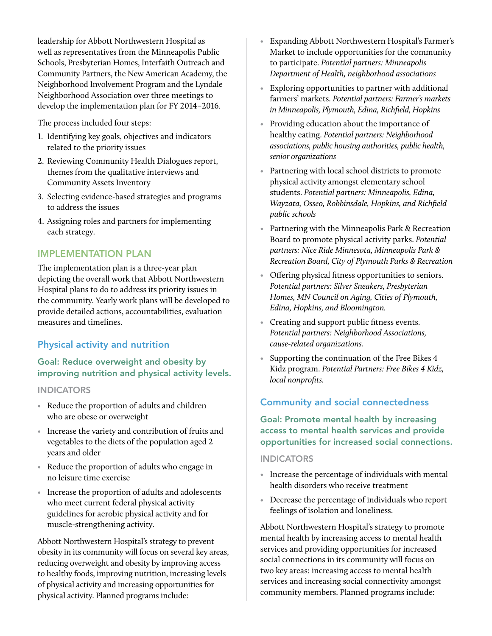leadership for Abbott Northwestern Hospital as well as representatives from the Minneapolis Public Schools, Presbyterian Homes, Interfaith Outreach and Community Partners, the New American Academy, the Neighborhood Involvement Program and the Lyndale Neighborhood Association over three meetings to develop the implementation plan for FY 2014–2016.

The process included four steps:

- 1. Identifying key goals, objectives and indicators related to the priority issues
- 2. Reviewing Community Health Dialogues report, themes from the qualitative interviews and Community Assets Inventory
- 3. Selecting evidence-based strategies and programs to address the issues
- 4. Assigning roles and partners for implementing each strategy.

#### Implementation Plan

The implementation plan is a three-year plan depicting the overall work that Abbott Northwestern Hospital plans to do to address its priority issues in the community. Yearly work plans will be developed to provide detailed actions, accountabilities, evaluation measures and timelines.

### Physical activity and nutrition

### Goal: Reduce overweight and obesity by improving nutrition and physical activity levels.

#### **INDICATORS**

- Reduce the proportion of adults and children who are obese or overweight
- Increase the variety and contribution of fruits and vegetables to the diets of the population aged 2 years and older
- Reduce the proportion of adults who engage in no leisure time exercise
- Increase the proportion of adults and adolescents who meet current federal physical activity guidelines for aerobic physical activity and for muscle-strengthening activity.

Abbott Northwestern Hospital's strategy to prevent obesity in its community will focus on several key areas, reducing overweight and obesity by improving access to healthy foods, improving nutrition, increasing levels of physical activity and increasing opportunities for physical activity. Planned programs include:

- Expanding Abbott Northwestern Hospital's Farmer's Market to include opportunities for the community to participate. *Potential partners: Minneapolis Department of Health, neighborhood associations*
- Exploring opportunities to partner with additional farmers' markets. *Potential partners: Farmer's markets in Minneapolis, Plymouth, Edina, Richfield, Hopkins*
- Providing education about the importance of healthy eating. *Potential partners: Neighborhood associations, public housing authorities, public health, senior organizations*
- Partnering with local school districts to promote physical activity amongst elementary school students. *Potential partners: Minneapolis, Edina, Wayzata, Osseo, Robbinsdale, Hopkins, and Richfield public schools*
- Partnering with the Minneapolis Park & Recreation Board to promote physical activity parks. *Potential partners: Nice Ride Minnesota, Minneapolis Park & Recreation Board, City of Plymouth Parks & Recreation*
- Offering physical fitness opportunities to seniors. *Potential partners: Silver Sneakers, Presbyterian Homes, MN Council on Aging, Cities of Plymouth, Edina, Hopkins, and Bloomington.*
- Creating and support public fitness events. *Potential partners: Neighborhood Associations, cause-related organizations.*
- Supporting the continuation of the Free Bikes 4 Kidz program. *Potential Partners: Free Bikes 4 Kidz, local nonprofits.*

# Community and social connectedness

Goal: Promote mental health by increasing access to mental health services and provide opportunities for increased social connections.

#### **INDICATORS**

- Increase the percentage of individuals with mental health disorders who receive treatment
- Decrease the percentage of individuals who report feelings of isolation and loneliness.

Abbott Northwestern Hospital's strategy to promote mental health by increasing access to mental health services and providing opportunities for increased social connections in its community will focus on two key areas: increasing access to mental health services and increasing social connectivity amongst community members. Planned programs include: